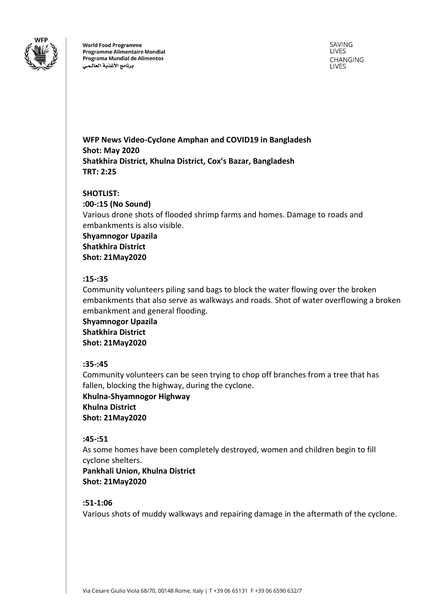

**World Food Programme Programme Alimentaire Mondial** Programa Mundial de Alimentos برنامج الأغذية العالمى

SAVING LIVES **CHANGING LIVES** 

**WFP News Video-Cyclone Amphan and COVID19 in Bangladesh Shot: May 2020 Shatkhira District, Khulna District, Cox's Bazar, Bangladesh TRT: 2:25**

#### **SHOTLIST:**

**:00-:15 (No Sound)** Various drone shots of flooded shrimp farms and homes. Damage to roads and embankments is also visible.

**Shyamnogor Upazila Shatkhira District Shot: 21May2020**

#### **:15-:35**

Community volunteers piling sand bags to block the water flowing over the broken embankments that also serve as walkways and roads. Shot of water overflowing a broken embankment and general flooding.

**Shyamnogor Upazila Shatkhira District Shot: 21May2020**

#### **:35-:45**

Community volunteers can be seen trying to chop off branches from a tree that has fallen, blocking the highway, during the cyclone.

**Khulna-Shyamnogor Highway Khulna District Shot: 21May2020**

#### **:45-:51**

As some homes have been completely destroyed, women and children begin to fill cyclone shelters.

**Pankhali Union, Khulna District Shot: 21May2020**

# **:51-1:06**

Various shots of muddy walkways and repairing damage in the aftermath of the cyclone.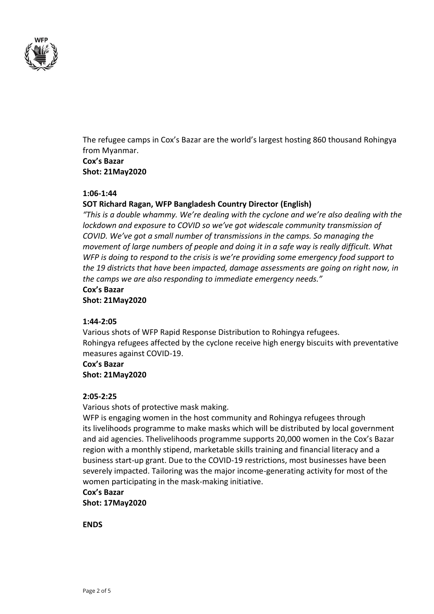

The refugee camps in Cox's Bazar are the world's largest hosting 860 thousand Rohingya from Myanmar. **Cox's Bazar**

**Shot: 21May2020**

# **1:06-1:44**

#### **SOT Richard Ragan, WFP Bangladesh Country Director (English)**

*"This is a double whammy. We're dealing with the cyclone and we're also dealing with the lockdown and exposure to COVID so we've got widescale community transmission of COVID. We've got a small number of transmissions in the camps. So managing the movement of large numbers of people and doing it in a safe way is really difficult. What WFP is doing to respond to the crisis is we're providing some emergency food support to the 19 districts that have been impacted, damage assessments are going on right now, in the camps we are also responding to immediate emergency needs."*

# **Cox's Bazar**

**Shot: 21May2020**

# **1:44-2:05**

Various shots of WFP Rapid Response Distribution to Rohingya refugees. Rohingya refugees affected by the cyclone receive high energy biscuits with preventative measures against COVID-19.

# **Cox's Bazar**

**Shot: 21May2020**

# **2:05-2:25**

Various shots of protective mask making.

WFP is engaging women in the host community and Rohingya refugees through its livelihoods programme to make masks which will be distributed by local government and aid agencies. Thelivelihoods programme supports 20,000 women in the Cox's Bazar region with a monthly stipend, marketable skills training and financial literacy and a business start-up grant. Due to the COVID-19 restrictions, most businesses have been severely impacted. Tailoring was the major income-generating activity for most of the women participating in the mask-making initiative.

# **Cox's Bazar Shot: 17May2020**

**ENDS**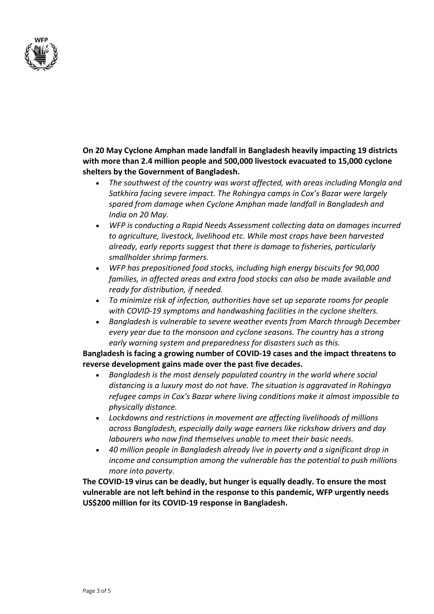

**On 20 May Cyclone Amphan made landfall in Bangladesh heavily impacting 19 districts with more than 2.4 million people and 500,000 livestock evacuated to 15,000 cyclone shelters by the Government of Bangladesh.**

- *The southwest of the country was worst affected, with areas including Mongla and Satkhira facing severe impact. The Rohingya camps in Cox's Bazar were largely spared from damage when Cyclone Amphan made landfall in Bangladesh and India on 20 May.*
- *WFP is conducting a Rapid Needs Assessment collecting data on damages incurred to agriculture, livestock, livelihood etc. While most crops have been harvested already, early reports suggest that there is damage to fisheries, particularly smallholder shrimp farmers.*
- *WFP has prepositioned food stocks, including high energy biscuits for 90,000 families, in affected areas and extra food stocks can also be mad*e avail*able and ready for distribution, if needed.*
- *To minimize risk of infection, authorities have set up separate rooms for people with COVID-19 symptoms and handwashing facilities in the cyclone shelters.*
- *Bangladesh is vulnerable to severe weather events from March through December every year due to the monsoon and cyclone seasons. The country has a strong early warning system and preparedness for disasters such as this.*

**Bangladesh is facing a growing number of COVID-19 cases and the impact threatens to reverse development gains made over the past five decades.**

- *Bangladesh is the most densely populated country in the world where social distancing is a luxury most do not have. The situation is aggravated in Rohingya refugee camps in Cox's Bazar where living conditions make it almost impossible to physically distance.*
- *Lockdowns and restrictions in movement are affecting livelihoods of millions across Bangladesh, especially daily wage earners like rickshaw drivers and day labourers who now find themselves unable to meet their basic needs.*
- *40 million people in Bangladesh already live in poverty and a significant drop in income and consumption among the vulnerable has the potential to push millions more into poverty.*

**The COVID-19 virus can be deadly, but hunger is equally deadly. To ensure the most vulnerable are not left behind in the response to this pandemic, WFP urgently needs US\$200 million for its COVID-19 response in Bangladesh.**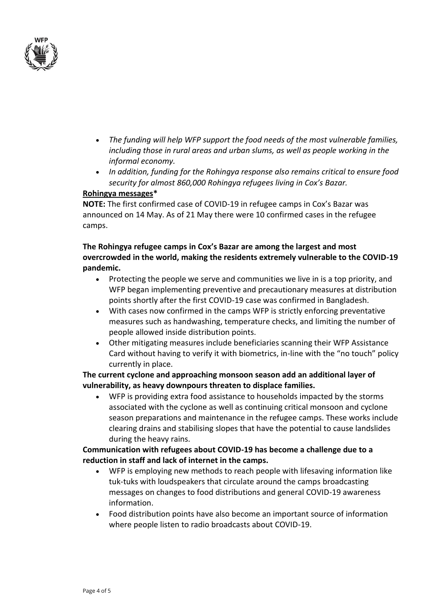

- *The funding will help WFP support the food needs of the most vulnerable families, including those in rural areas and urban slums, as well as people working in the informal economy.*
- *In addition, funding for the Rohingya response also remains critical to ensure food security for almost 860,000 Rohingya refugees living in Cox's Bazar.*

# **Rohingya messages\***

**NOTE:** The first confirmed case of COVID-19 in refugee camps in Cox's Bazar was announced on 14 May. As of 21 May there were 10 confirmed cases in the refugee camps.

# **The Rohingya refugee camps in Cox's Bazar are among the largest and most overcrowded in the world, making the residents extremely vulnerable to the COVID-19 pandemic.**

- Protecting the people we serve and communities we live in is a top priority, and WFP began implementing preventive and precautionary measures at distribution points shortly after the first COVID-19 case was confirmed in Bangladesh.
- With cases now confirmed in the camps WFP is strictly enforcing preventative measures such as handwashing, temperature checks, and limiting the number of people allowed inside distribution points.
- Other mitigating measures include beneficiaries scanning their WFP Assistance Card without having to verify it with biometrics, in-line with the "no touch" policy currently in place.

# **The current cyclone and approaching monsoon season add an additional layer of vulnerability, as heavy downpours threaten to displace families.**

• WFP is providing extra food assistance to households impacted by the storms associated with the cyclone as well as continuing critical monsoon and cyclone season preparations and maintenance in the refugee camps. These works include clearing drains and stabilising slopes that have the potential to cause landslides during the heavy rains.

# **Communication with refugees about COVID-19 has become a challenge due to a reduction in staff and lack of internet in the camps.**

- WFP is employing new methods to reach people with lifesaving information like tuk-tuks with loudspeakers that circulate around the camps broadcasting messages on changes to food distributions and general COVID-19 awareness information.
- Food distribution points have also become an important source of information where people listen to radio broadcasts about COVID-19.